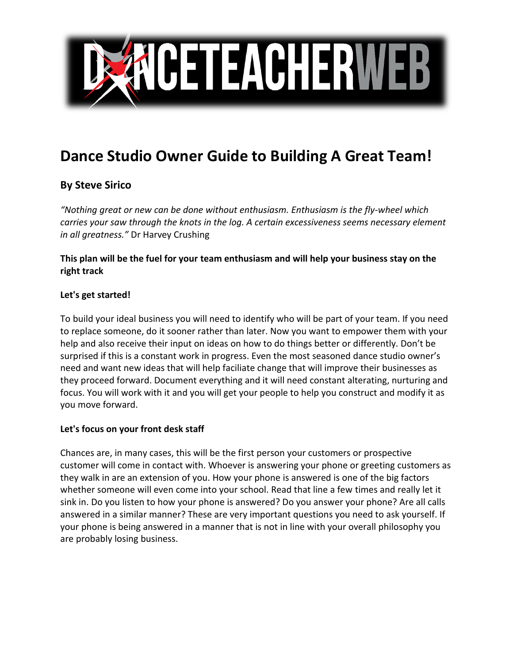

# **Dance Studio Owner Guide to Building A Great Team!**

# **By Steve Sirico**

*"Nothing great or new can be done without enthusiasm. Enthusiasm is the fly-wheel which carries your saw through the knots in the log. A certain excessiveness seems necessary element in all greatness."* Dr Harvey Crushing

# **This plan will be the fuel for your team enthusiasm and will help your business stay on the right track**

#### **Let's get started!**

To build your ideal business you will need to identify who will be part of your team. If you need to replace someone, do it sooner rather than later. Now you want to empower them with your help and also receive their input on ideas on how to do things better or differently. Don't be surprised if this is a constant work in progress. Even the most seasoned dance studio owner's need and want new ideas that will help faciliate change that will improve their businesses as they proceed forward. Document everything and it will need constant alterating, nurturing and focus. You will work with it and you will get your people to help you construct and modify it as you move forward.

## **Let's focus on your front desk staff**

Chances are, in many cases, this will be the first person your customers or prospective customer will come in contact with. Whoever is answering your phone or greeting customers as they walk in are an extension of you. How your phone is answered is one of the big factors whether someone will even come into your school. Read that line a few times and really let it sink in. Do you listen to how your phone is answered? Do you answer your phone? Are all calls answered in a similar manner? These are very important questions you need to ask yourself. If your phone is being answered in a manner that is not in line with your overall philosophy you are probably losing business.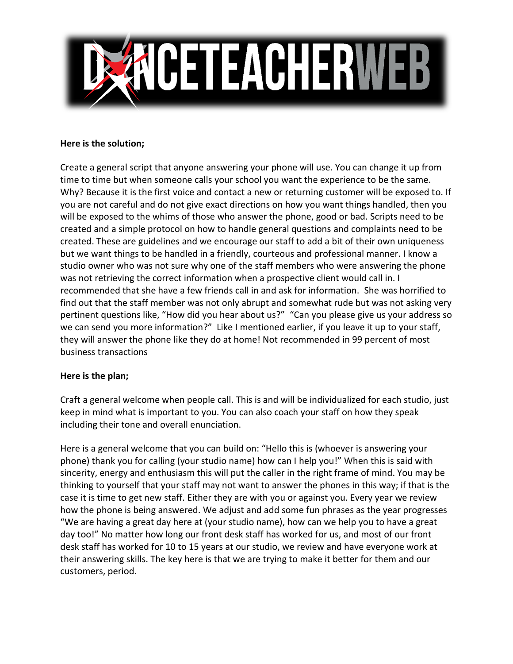

#### **Here is the solution;**

Create a general script that anyone answering your phone will use. You can change it up from time to time but when someone calls your school you want the experience to be the same. Why? Because it is the first voice and contact a new or returning customer will be exposed to. If you are not careful and do not give exact directions on how you want things handled, then you will be exposed to the whims of those who answer the phone, good or bad. Scripts need to be created and a simple protocol on how to handle general questions and complaints need to be created. These are guidelines and we encourage our staff to add a bit of their own uniqueness but we want things to be handled in a friendly, courteous and professional manner. I know a studio owner who was not sure why one of the staff members who were answering the phone was not retrieving the correct information when a prospective client would call in. I recommended that she have a few friends call in and ask for information. She was horrified to find out that the staff member was not only abrupt and somewhat rude but was not asking very pertinent questions like, "How did you hear about us?" "Can you please give us your address so we can send you more information?" Like I mentioned earlier, if you leave it up to your staff, they will answer the phone like they do at home! Not recommended in 99 percent of most business transactions

#### **Here is the plan;**

Craft a general welcome when people call. This is and will be individualized for each studio, just keep in mind what is important to you. You can also coach your staff on how they speak including their tone and overall enunciation.

Here is a general welcome that you can build on: "Hello this is (whoever is answering your phone) thank you for calling (your studio name) how can I help you!" When this is said with sincerity, energy and enthusiasm this will put the caller in the right frame of mind. You may be thinking to yourself that your staff may not want to answer the phones in this way; if that is the case it is time to get new staff. Either they are with you or against you. Every year we review how the phone is being answered. We adjust and add some fun phrases as the year progresses "We are having a great day here at (your studio name), how can we help you to have a great day too!" No matter how long our front desk staff has worked for us, and most of our front desk staff has worked for 10 to 15 years at our studio, we review and have everyone work at their answering skills. The key here is that we are trying to make it better for them and our customers, period.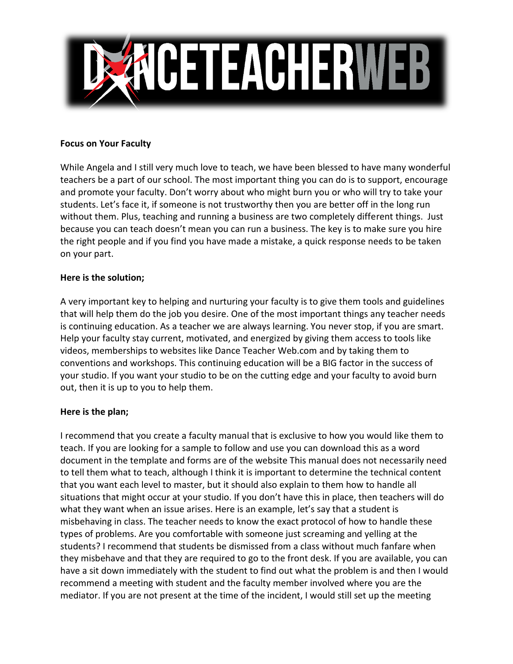

#### **Focus on Your Faculty**

While Angela and I still very much love to teach, we have been blessed to have many wonderful teachers be a part of our school. The most important thing you can do is to support, encourage and promote your faculty. Don't worry about who might burn you or who will try to take your students. Let's face it, if someone is not trustworthy then you are better off in the long run without them. Plus, teaching and running a business are two completely different things. Just because you can teach doesn't mean you can run a business. The key is to make sure you hire the right people and if you find you have made a mistake, a quick response needs to be taken on your part.

#### **Here is the solution;**

A very important key to helping and nurturing your faculty is to give them tools and guidelines that will help them do the job you desire. One of the most important things any teacher needs is continuing education. As a teacher we are always learning. You never stop, if you are smart. Help your faculty stay current, motivated, and energized by giving them access to tools like videos, memberships to websites like Dance Teacher Web.com and by taking them to conventions and workshops. This continuing education will be a BIG factor in the success of your studio. If you want your studio to be on the cutting edge and your faculty to avoid burn out, then it is up to you to help them.

## **Here is the plan;**

I recommend that you create a faculty manual that is exclusive to how you would like them to teach. If you are looking for a sample to follow and use you can download this as a word document in the template and forms are of the website This manual does not necessarily need to tell them what to teach, although I think it is important to determine the technical content that you want each level to master, but it should also explain to them how to handle all situations that might occur at your studio. If you don't have this in place, then teachers will do what they want when an issue arises. Here is an example, let's say that a student is misbehaving in class. The teacher needs to know the exact protocol of how to handle these types of problems. Are you comfortable with someone just screaming and yelling at the students? I recommend that students be dismissed from a class without much fanfare when they misbehave and that they are required to go to the front desk. If you are available, you can have a sit down immediately with the student to find out what the problem is and then I would recommend a meeting with student and the faculty member involved where you are the mediator. If you are not present at the time of the incident, I would still set up the meeting